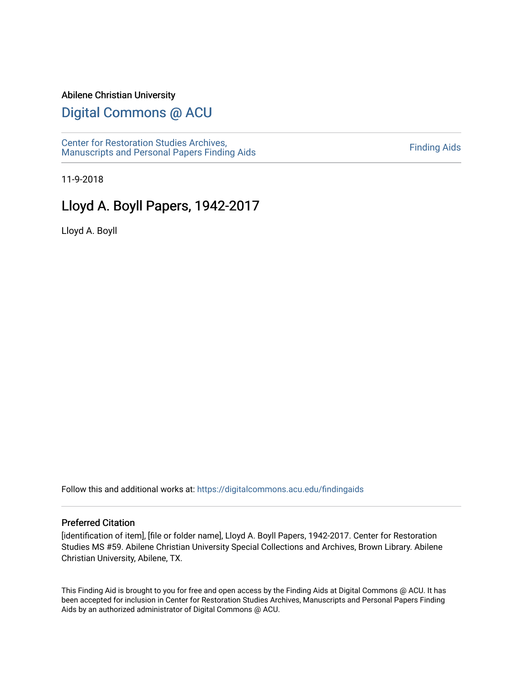#### Abilene Christian University

# [Digital Commons @ ACU](https://digitalcommons.acu.edu/)

[Center for Restoration Studies Archives,](https://digitalcommons.acu.edu/findingaids)  [Manuscripts and Personal Papers Finding Aids](https://digitalcommons.acu.edu/findingaids) [Finding Aids](https://digitalcommons.acu.edu/crs_finding_aids) 

11-9-2018

# Lloyd A. Boyll Papers, 1942-2017

Lloyd A. Boyll

Follow this and additional works at: [https://digitalcommons.acu.edu/findingaids](https://digitalcommons.acu.edu/findingaids?utm_source=digitalcommons.acu.edu%2Ffindingaids%2F354&utm_medium=PDF&utm_campaign=PDFCoverPages)

#### Preferred Citation

[identification of item], [file or folder name], Lloyd A. Boyll Papers, 1942-2017. Center for Restoration Studies MS #59. Abilene Christian University Special Collections and Archives, Brown Library. Abilene Christian University, Abilene, TX.

This Finding Aid is brought to you for free and open access by the Finding Aids at Digital Commons @ ACU. It has been accepted for inclusion in Center for Restoration Studies Archives, Manuscripts and Personal Papers Finding Aids by an authorized administrator of Digital Commons @ ACU.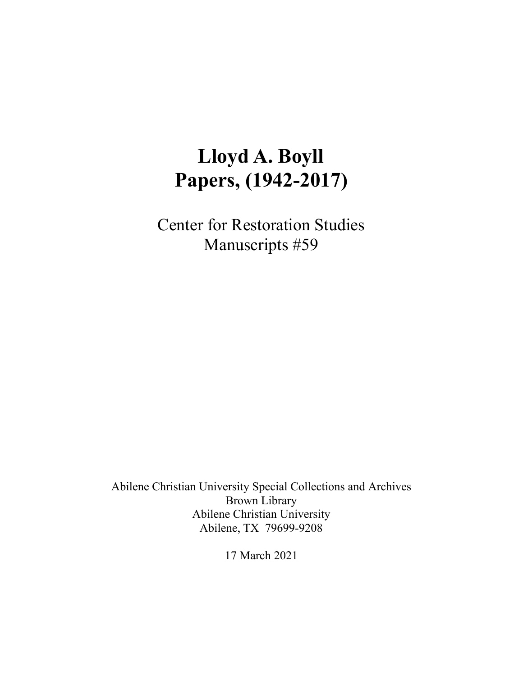# **Lloyd A. Boyll Papers, (1942-2017)**

Center for Restoration Studies Manuscripts #59

Abilene Christian University Special Collections and Archives Brown Library Abilene Christian University Abilene, TX 79699-9208

17 March 2021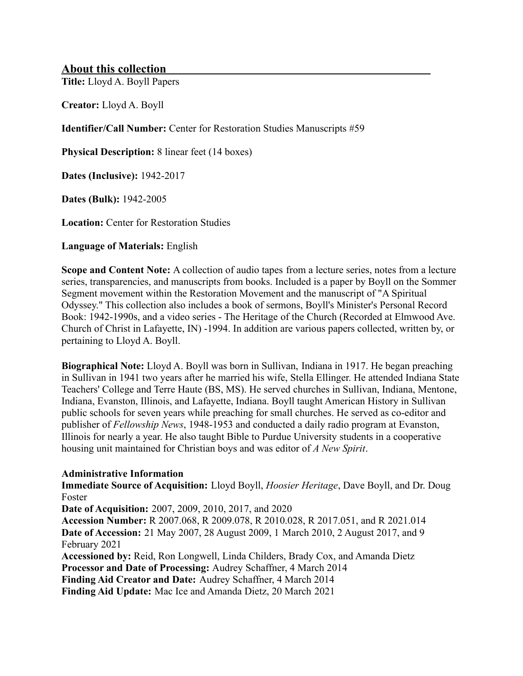# **About this collection**

**Title:** Lloyd A. Boyll Papers

**Creator:** Lloyd A. Boyll

**Identifier/Call Number:** Center for Restoration Studies Manuscripts #59

**Physical Description:** 8 linear feet (14 boxes)

**Dates (Inclusive):** 1942-2017

**Dates (Bulk):** 1942-2005

**Location:** Center for Restoration Studies

**Language of Materials:** English

**Scope and Content Note:** A collection of audio tapes from a lecture series, notes from a lecture series, transparencies, and manuscripts from books. Included is a paper by Boyll on the Sommer Segment movement within the Restoration Movement and the manuscript of "A Spiritual Odyssey." This collection also includes a book of sermons, Boyll's Minister's Personal Record Book: 1942-1990s, and a video series - The Heritage of the Church (Recorded at Elmwood Ave. Church of Christ in Lafayette, IN) -1994. In addition are various papers collected, written by, or pertaining to Lloyd A. Boyll.

**Biographical Note:** Lloyd A. Boyll was born in Sullivan, Indiana in 1917. He began preaching in Sullivan in 1941 two years after he married his wife, Stella Ellinger. He attended Indiana State Teachers' College and Terre Haute (BS, MS). He served churches in Sullivan, Indiana, Mentone, Indiana, Evanston, Illinois, and Lafayette, Indiana. Boyll taught American History in Sullivan public schools for seven years while preaching for small churches. He served as co-editor and publisher of *Fellowship News*, 1948-1953 and conducted a daily radio program at Evanston, Illinois for nearly a year. He also taught Bible to Purdue University students in a cooperative housing unit maintained for Christian boys and was editor of *A New Spirit*.

#### **Administrative Information**

**Immediate Source of Acquisition:** Lloyd Boyll, *Hoosier Heritage*, Dave Boyll, and Dr. Doug Foster

**Date of Acquisition:** 2007, 2009, 2010, 2017, and 2020

**Accession Number:** R 2007.068, R 2009.078, R 2010.028, R 2017.051, and R 2021.014 **Date of Accession:** 21 May 2007, 28 August 2009, 1 March 2010, 2 August 2017, and 9 February 2021

**Accessioned by:** Reid, Ron Longwell, Linda Childers, Brady Cox, and Amanda Dietz **Processor and Date of Processing:** Audrey Schaffner, 4 March 2014

**Finding Aid Creator and Date:** Audrey Schaffner, 4 March 2014

**Finding Aid Update:** Mac Ice and Amanda Dietz, 20 March 2021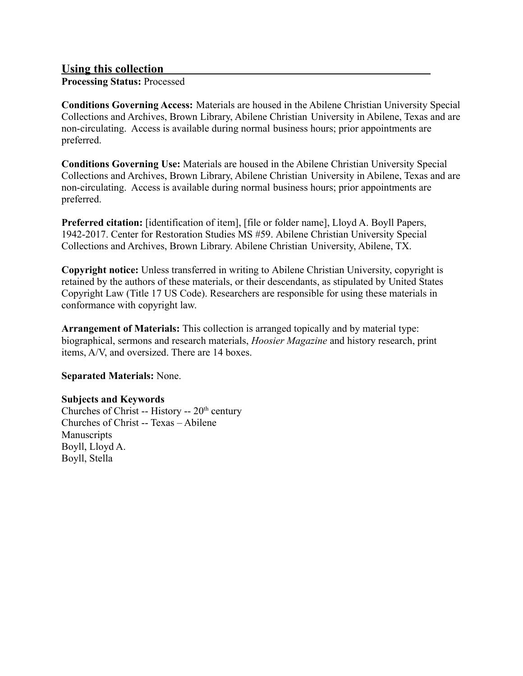# **Using this collection**

**Processing Status:** Processed

**Conditions Governing Access:** Materials are housed in the Abilene Christian University Special Collections and Archives, Brown Library, Abilene Christian University in Abilene, Texas and are non-circulating. Access is available during normal business hours; prior appointments are preferred.

**Conditions Governing Use:** Materials are housed in the Abilene Christian University Special Collections and Archives, Brown Library, Abilene Christian University in Abilene, Texas and are non-circulating. Access is available during normal business hours; prior appointments are preferred.

**Preferred citation:** [identification of item], [file or folder name], Lloyd A. Boyll Papers, 1942-2017. Center for Restoration Studies MS #59. Abilene Christian University Special Collections and Archives, Brown Library. Abilene Christian University, Abilene, TX.

**Copyright notice:** Unless transferred in writing to Abilene Christian University, copyright is retained by the authors of these materials, or their descendants, as stipulated by United States Copyright Law (Title 17 US Code). Researchers are responsible for using these materials in conformance with copyright law.

**Arrangement of Materials:** This collection is arranged topically and by material type: biographical, sermons and research materials, *Hoosier Magazine* and history research, print items, A/V, and oversized. There are 14 boxes.

**Separated Materials:** None.

# **Subjects and Keywords**

Churches of Christ -- History --  $20<sup>th</sup>$  century Churches of Christ -- Texas – Abilene Manuscripts Boyll, Lloyd A. Boyll, Stella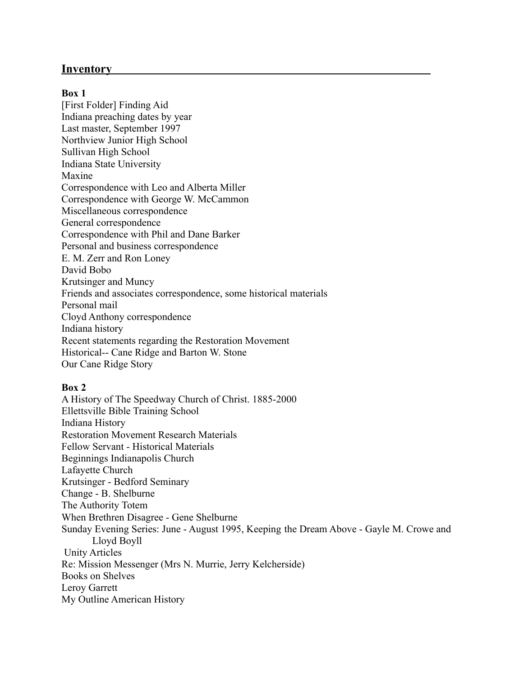## **Inventory**

#### **Box 1**

[First Folder] Finding Aid Indiana preaching dates by year Last master, September 1997 Northview Junior High School Sullivan High School Indiana State University Maxine Correspondence with Leo and Alberta Miller Correspondence with George W. McCammon Miscellaneous correspondence General correspondence Correspondence with Phil and Dane Barker Personal and business correspondence E. M. Zerr and Ron Loney David Bobo Krutsinger and Muncy Friends and associates correspondence, some historical materials Personal mail Cloyd Anthony correspondence Indiana history Recent statements regarding the Restoration Movement Historical-- Cane Ridge and Barton W. Stone Our Cane Ridge Story

#### **Box 2**

A History of The Speedway Church of Christ. 1885-2000 Ellettsville Bible Training School Indiana History Restoration Movement Research Materials Fellow Servant - Historical Materials Beginnings Indianapolis Church Lafayette Church Krutsinger - Bedford Seminary Change - B. Shelburne The Authority Totem When Brethren Disagree - Gene Shelburne Sunday Evening Series: June - August 1995, Keeping the Dream Above - Gayle M. Crowe and Lloyd Boyll Unity Articles Re: Mission Messenger (Mrs N. Murrie, Jerry Kelcherside) Books on Shelves Leroy Garrett My Outline American History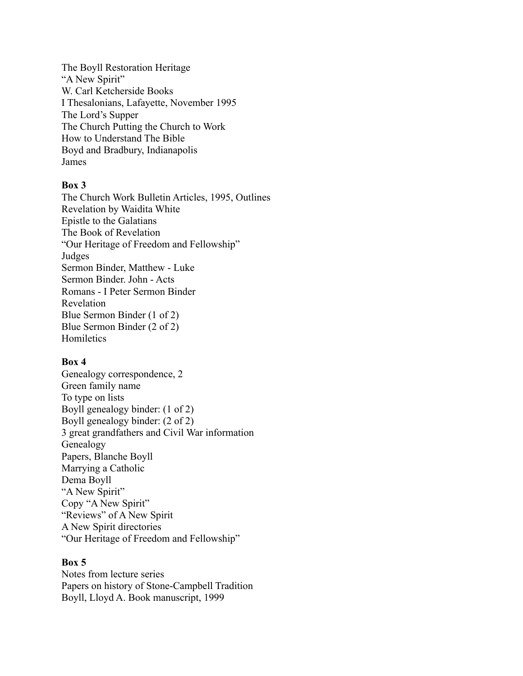The Boyll Restoration Heritage "A New Spirit" W. Carl Ketcherside Books I Thesalonians, Lafayette, November 1995 The Lord's Supper The Church Putting the Church to Work How to Understand The Bible Boyd and Bradbury, Indianapolis James

#### **Box 3**

The Church Work Bulletin Articles, 1995, Outlines Revelation by Waidita White Epistle to the Galatians The Book of Revelation "Our Heritage of Freedom and Fellowship" Judges Sermon Binder, Matthew - Luke Sermon Binder. John - Acts Romans - I Peter Sermon Binder Revelation Blue Sermon Binder (1 of 2) Blue Sermon Binder (2 of 2) Homiletics

## **Box 4**

Genealogy correspondence, 2 Green family name To type on lists Boyll genealogy binder: (1 of 2) Boyll genealogy binder: (2 of 2) 3 great grandfathers and Civil War information Genealogy Papers, Blanche Boyll Marrying a Catholic Dema Boyll "A New Spirit" Copy "A New Spirit" "Reviews" of A New Spirit A New Spirit directories "Our Heritage of Freedom and Fellowship"

#### **Box 5**

Notes from lecture series Papers on history of Stone-Campbell Tradition Boyll, Lloyd A. Book manuscript, 1999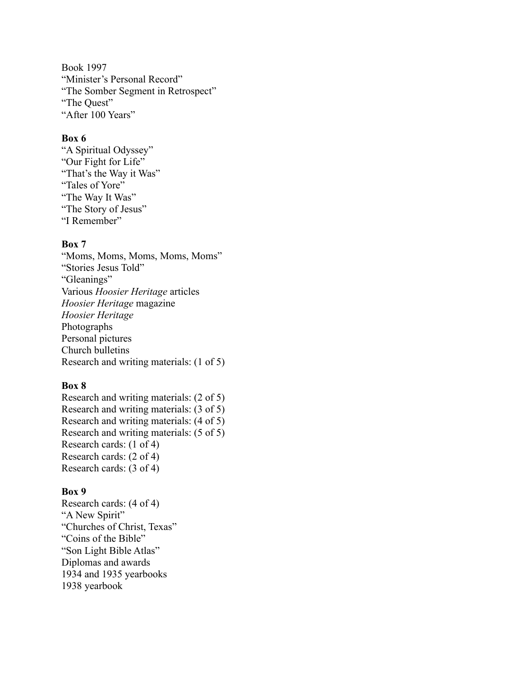Book 1997 "Minister's Personal Record" "The Somber Segment in Retrospect" "The Quest" "After 100 Years"

#### **Box 6**

"A Spiritual Odyssey" "Our Fight for Life" "That's the Way it Was" "Tales of Yore" "The Way It Was" "The Story of Jesus" "I Remember"

### **Box 7**

"Moms, Moms, Moms, Moms, Moms" "Stories Jesus Told" "Gleanings" Various *Hoosier Heritage* articles *Hoosier Heritage* magazine *Hoosier Heritage* Photographs Personal pictures Church bulletins Research and writing materials: (1 of 5)

#### **Box 8**

Research and writing materials: (2 of 5) Research and writing materials: (3 of 5) Research and writing materials: (4 of 5) Research and writing materials: (5 of 5) Research cards: (1 of 4) Research cards: (2 of 4) Research cards: (3 of 4)

#### **Box 9**

Research cards: (4 of 4) "A New Spirit" "Churches of Christ, Texas" "Coins of the Bible" "Son Light Bible Atlas" Diplomas and awards 1934 and 1935 yearbooks 1938 yearbook